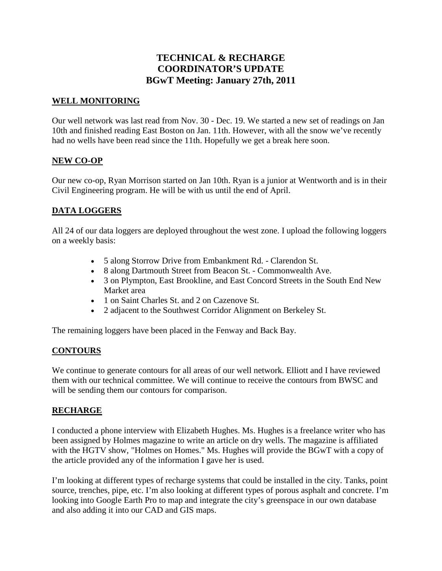# **TECHNICAL & RECHARGE COORDINATOR'S UPDATE BGwT Meeting: January 27th, 2011**

#### **WELL MONITORING**

Our well network was last read from Nov. 30 - Dec. 19. We started a new set of readings on Jan 10th and finished reading East Boston on Jan. 11th. However, with all the snow we've recently had no wells have been read since the 11th. Hopefully we get a break here soon.

#### **NEW CO-OP**

Our new co-op, Ryan Morrison started on Jan 10th. Ryan is a junior at Wentworth and is in their Civil Engineering program. He will be with us until the end of April.

# **DATA LOGGERS**

All 24 of our data loggers are deployed throughout the west zone. I upload the following loggers on a weekly basis:

- 5 along Storrow Drive from Embankment Rd. Clarendon St.
- 8 along Dartmouth Street from Beacon St. Commonwealth Ave.
- 3 on Plympton, East Brookline, and East Concord Streets in the South End New Market area
- 1 on Saint Charles St. and 2 on Cazenove St.
- 2 adjacent to the Southwest Corridor Alignment on Berkeley St.

The remaining loggers have been placed in the Fenway and Back Bay.

# **CONTOURS**

We continue to generate contours for all areas of our well network. Elliott and I have reviewed them with our technical committee. We will continue to receive the contours from BWSC and will be sending them our contours for comparison.

# **RECHARGE**

I conducted a phone interview with Elizabeth Hughes. Ms. Hughes is a freelance writer who has been assigned by Holmes magazine to write an article on dry wells. The magazine is affiliated with the HGTV show, "Holmes on Homes." Ms. Hughes will provide the BGwT with a copy of the article provided any of the information I gave her is used.

I'm looking at different types of recharge systems that could be installed in the city. Tanks, point source, trenches, pipe, etc. I'm also looking at different types of porous asphalt and concrete. I'm looking into Google Earth Pro to map and integrate the city's greenspace in our own database and also adding it into our CAD and GIS maps.